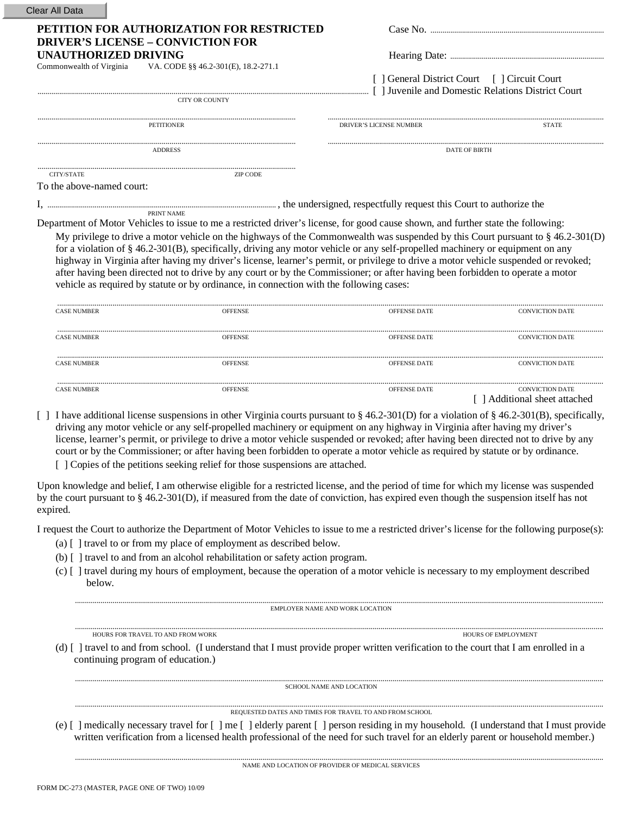|                             | PETITION FOR AUTHORIZATION FOR RESTRICTED                                                                                                                                                                                                                                                                                                                                                                                                                                                                                                                                                                                                                                                                                                                                       |                                              |                                                    |
|-----------------------------|---------------------------------------------------------------------------------------------------------------------------------------------------------------------------------------------------------------------------------------------------------------------------------------------------------------------------------------------------------------------------------------------------------------------------------------------------------------------------------------------------------------------------------------------------------------------------------------------------------------------------------------------------------------------------------------------------------------------------------------------------------------------------------|----------------------------------------------|----------------------------------------------------|
| <b>UNAUTHORIZED DRIVING</b> | <b>DRIVER'S LICENSE - CONVICTION FOR</b>                                                                                                                                                                                                                                                                                                                                                                                                                                                                                                                                                                                                                                                                                                                                        |                                              |                                                    |
| Commonwealth of Virginia    | VA. CODE §§ 46.2-301(E), 18.2-271.1                                                                                                                                                                                                                                                                                                                                                                                                                                                                                                                                                                                                                                                                                                                                             |                                              |                                                    |
|                             |                                                                                                                                                                                                                                                                                                                                                                                                                                                                                                                                                                                                                                                                                                                                                                                 | [ ] General District Court [ ] Circuit Court | [ ] Juvenile and Domestic Relations District Court |
|                             | <b>CITY OR COUNTY</b>                                                                                                                                                                                                                                                                                                                                                                                                                                                                                                                                                                                                                                                                                                                                                           |                                              |                                                    |
|                             | <b>PETITIONER</b>                                                                                                                                                                                                                                                                                                                                                                                                                                                                                                                                                                                                                                                                                                                                                               | <b>DRIVER'S LICENSE NUMBER</b>               | <b>STATE</b>                                       |
|                             | <b>ADDRESS</b>                                                                                                                                                                                                                                                                                                                                                                                                                                                                                                                                                                                                                                                                                                                                                                  | <b>DATE OF BIRTH</b>                         |                                                    |
| CITY/STATE                  | <b>ZIP CODE</b>                                                                                                                                                                                                                                                                                                                                                                                                                                                                                                                                                                                                                                                                                                                                                                 |                                              |                                                    |
| To the above-named court:   |                                                                                                                                                                                                                                                                                                                                                                                                                                                                                                                                                                                                                                                                                                                                                                                 |                                              |                                                    |
|                             | the undersigned, respectfully request this Court to authorize the endersigned, respectfully request this Court to authorize the<br>PRINT NAME                                                                                                                                                                                                                                                                                                                                                                                                                                                                                                                                                                                                                                   |                                              |                                                    |
|                             | Department of Motor Vehicles to issue to me a restricted driver's license, for good cause shown, and further state the following:<br>My privilege to drive a motor vehicle on the highways of the Commonwealth was suspended by this Court pursuant to $\S$ 46.2-301(D)<br>for a violation of $\S$ 46.2-301(B), specifically, driving any motor vehicle or any self-propelled machinery or equipment on any<br>highway in Virginia after having my driver's license, learner's permit, or privilege to drive a motor vehicle suspended or revoked;<br>after having been directed not to drive by any court or by the Commissioner; or after having been forbidden to operate a motor<br>vehicle as required by statute or by ordinance, in connection with the following cases: |                                              |                                                    |
| <b>CASE NUMBER</b>          | <b>OFFENSE</b>                                                                                                                                                                                                                                                                                                                                                                                                                                                                                                                                                                                                                                                                                                                                                                  | <b>OFFENSE DATE</b>                          | <b>CONVICTION DATE</b>                             |
| <b>CASE NUMBER</b>          | <b>OFFENSE</b>                                                                                                                                                                                                                                                                                                                                                                                                                                                                                                                                                                                                                                                                                                                                                                  | OFFENSE DATE                                 | <b>CONVICTION DATE</b>                             |
| <b>CASE NUMBER</b>          | <b>OFFENSE</b>                                                                                                                                                                                                                                                                                                                                                                                                                                                                                                                                                                                                                                                                                                                                                                  | <b>OFFENSE DATE</b>                          | <b>CONVICTION DATE</b>                             |

dditional license suspensions in other Virginia courts pursuant to  $\S 46.2{\text -}301(D)$  for a violation of  $\S 46.2{\text -}301(B)$ , specifically, driving any motor vehicle or any self-propelled machinery or equipment on any highway in Virginia after having my driver's license, learner's permit, or privilege to drive a motor vehicle suspended or revoked; after having been directed not to drive by any court or by the Commissioner; or after having been forbidden to operate a motor vehicle as required by statute or by ordinance.

[ ] Copies of the petitions seeking relief for those suspensions are attached.

Upon knowledge and belief, I am otherwise eligible for a restricted license, and the period of time for which my license was suspended by the court pursuant to § 46.2-301(D), if measured from the date of conviction, has expired even though the suspension itself has not expired.

I request the Court to authorize the Department of Motor Vehicles to issue to me a restricted driver's license for the following purpose(s):

- (a) [ ] travel to or from my place of employment as described below.
- (b) [ ] travel to and from an alcohol rehabilitation or safety action program.
- (c) [ ] travel during my hours of employment, because the operation of a motor vehicle is necessary to my employment described below.

EMPLOYER NAME AND WORK LOCATION

HOURS FOR TRAVEL TO AND FROM WORK THE SERVICE OF SERVICE OF SERVICE OF SERVICE OF SERVICE OF SERVICENT

(d) [ ] travel to and from school. (I understand that I must provide proper written verification to the court that I am enrolled in a continuing program of education.)

 $\begin{minipage}{0.5cm} \textbf{SCHOOL NAME AND LOCATION} \end{minipage}$ 

## REQUESTED DATES AND TIMES FOR TRAVEL TO AND FROM SCHOOL

(e) [ ] medically necessary travel for [ ] me [ ] elderly parent [ ] person residing in my household. (I understand that I must provide written verification from a licensed health professional of the need for such travel for an elderly parent or household member.)